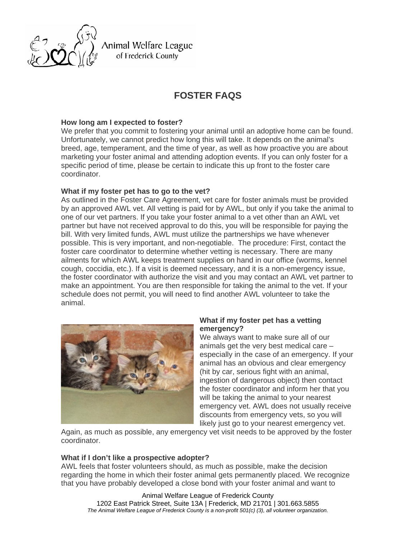

Animal Welfare League of Frederick County

# **FOSTER FAQS**

## **How long am I expected to foster?**

We prefer that you commit to fostering your animal until an adoptive home can be found. Unfortunately, we cannot predict how long this will take. It depends on the animal's breed, age, temperament, and the time of year, as well as how proactive you are about marketing your foster animal and attending adoption events. If you can only foster for a specific period of time, please be certain to indicate this up front to the foster care coordinator.

## **What if my foster pet has to go to the vet?**

As outlined in the Foster Care Agreement, vet care for foster animals must be provided by an approved AWL vet. All vetting is paid for by AWL, but only if you take the animal to one of our vet partners. If you take your foster animal to a vet other than an AWL vet partner but have not received approval to do this, you will be responsible for paying the bill. With very limited funds, AWL must utilize the partnerships we have whenever possible. This is very important, and non-negotiable. The procedure: First, contact the foster care coordinator to determine whether vetting is necessary. There are many ailments for which AWL keeps treatment supplies on hand in our office (worms, kennel cough, coccidia, etc.). If a visit is deemed necessary, and it is a non-emergency issue, the foster coordinator with authorize the visit and you may contact an AWL vet partner to make an appointment. You are then responsible for taking the animal to the vet. If your schedule does not permit, you will need to find another AWL volunteer to take the animal.



## **What if my foster pet has a vetting emergency?**

We always want to make sure all of our animals get the very best medical care – especially in the case of an emergency. If your animal has an obvious and clear emergency (hit by car, serious fight with an animal, ingestion of dangerous object) then contact the foster coordinator and inform her that you will be taking the animal to your nearest emergency vet. AWL does not usually receive discounts from emergency vets, so you will likely just go to your nearest emergency vet.

Again, as much as possible, any emergency vet visit needs to be approved by the foster coordinator.

#### **What if I don't like a prospective adopter?**

AWL feels that foster volunteers should, as much as possible, make the decision regarding the home in which their foster animal gets permanently placed. We recognize that you have probably developed a close bond with your foster animal and want to

Animal Welfare League of Frederick County 1202 East Patrick Street, Suite 13A | Frederick, MD 21701 | 301.663.5855 *The Animal Welfare League of Frederick County is a non-profit 501(c) (3), all volunteer organization.*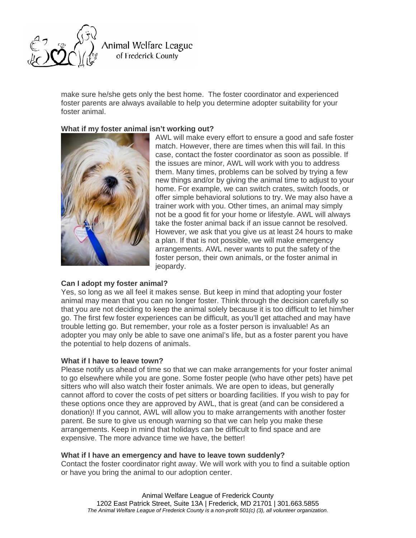

Animal Welfare League of Frederick County

make sure he/she gets only the best home. The foster coordinator and experienced foster parents are always available to help you determine adopter suitability for your foster animal.

# **What if my foster animal isn't working out?**



AWL will make every effort to ensure a good and safe foster match. However, there are times when this will fail. In this case, contact the foster coordinator as soon as possible. If the issues are minor, AWL will work with you to address them. Many times, problems can be solved by trying a few new things and/or by giving the animal time to adjust to your home. For example, we can switch crates, switch foods, or offer simple behavioral solutions to try. We may also have a trainer work with you. Other times, an animal may simply not be a good fit for your home or lifestyle. AWL will always take the foster animal back if an issue cannot be resolved. However, we ask that you give us at least 24 hours to make a plan. If that is not possible, we will make emergency arrangements. AWL never wants to put the safety of the foster person, their own animals, or the foster animal in jeopardy.

## **Can I adopt my foster animal?**

Yes, so long as we all feel it makes sense. But keep in mind that adopting your foster animal may mean that you can no longer foster. Think through the decision carefully so that you are not deciding to keep the animal solely because it is too difficult to let him/her go. The first few foster experiences can be difficult, as you'll get attached and may have trouble letting go. But remember, your role as a foster person is invaluable! As an adopter you may only be able to save one animal's life, but as a foster parent you have the potential to help dozens of animals.

#### **What if I have to leave town?**

Please notify us ahead of time so that we can make arrangements for your foster animal to go elsewhere while you are gone. Some foster people (who have other pets) have pet sitters who will also watch their foster animals. We are open to ideas, but generally cannot afford to cover the costs of pet sitters or boarding facilities. If you wish to pay for these options once they are approved by AWL, that is great (and can be considered a donation)! If you cannot, AWL will allow you to make arrangements with another foster parent. Be sure to give us enough warning so that we can help you make these arrangements. Keep in mind that holidays can be difficult to find space and are expensive. The more advance time we have, the better!

#### **What if I have an emergency and have to leave town suddenly?**

Contact the foster coordinator right away. We will work with you to find a suitable option or have you bring the animal to our adoption center.